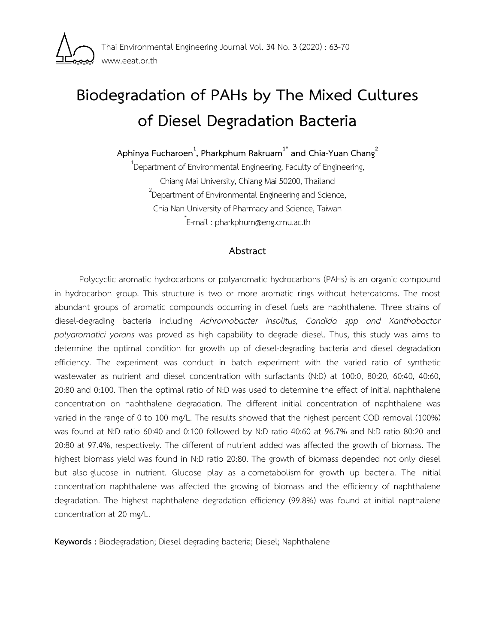

# **Biodegradation of PAHs by The Mixed Cultures of Diesel Degradation Bacteria**

**Aphinya Fucharoen<sup>1</sup> , Pharkphum Rakruam1\* and Chia-Yuan Chang<sup>2</sup>**

 $^{1}$ Department of Environmental Engineering, Faculty of Engineering, Chiang Mai University, Chiang Mai 50200, Thailand  $2$ Department of Environmental Engineering and Science, Chia Nan University of Pharmacy and Science, Taiwan \* E-mail : pharkphum@eng.cmu.ac.th

## **Abstract**

Polycyclic aromatic hydrocarbons or polyaromatic hydrocarbons (PAHs) is an organic compound in hydrocarbon group. This structure is two or more aromatic rings without heteroatoms. The most abundant groups of aromatic compounds occurring in diesel fuels are naphthalene. Three strains of diesel-degrading bacteria including *Achromobacter insolitus, Candida spp and Xanthobactor polyaromatici yorans* was proved as high capability to degrade diesel. Thus, this study was aims to determine the optimal condition for growth up of diesel-degrading bacteria and diesel degradation efficiency. The experiment was conduct in batch experiment with the varied ratio of synthetic wastewater as nutrient and diesel concentration with surfactants (N:D) at 100:0, 80:20, 60:40, 40:60, 20:80 and 0:100. Then the optimal ratio of N:D was used to determine the effect of initial naphthalene concentration on naphthalene degradation. The different initial concentration of naphthalene was varied in the range of 0 to 100 mg/L. The results showed that the highest percent COD removal (100%) was found at N:D ratio 60:40 and 0:100 followed by N:D ratio 40:60 at 96.7% and N:D ratio 80:20 and 20:80 at 97.4%, respectively. The different of nutrient added was affected the growth of biomass. The highest biomass yield was found in N:D ratio 20:80. The growth of biomass depended not only diesel but also glucose in nutrient. Glucose play as a cometabolism for growth up bacteria. The initial concentration naphthalene was affected the growing of biomass and the efficiency of naphthalene degradation. The highest naphthalene degradation efficiency (99.8%) was found at initial napthalene concentration at 20 mg/L.

**Keywords :** Biodegradation; Diesel degrading bacteria; Diesel; Naphthalene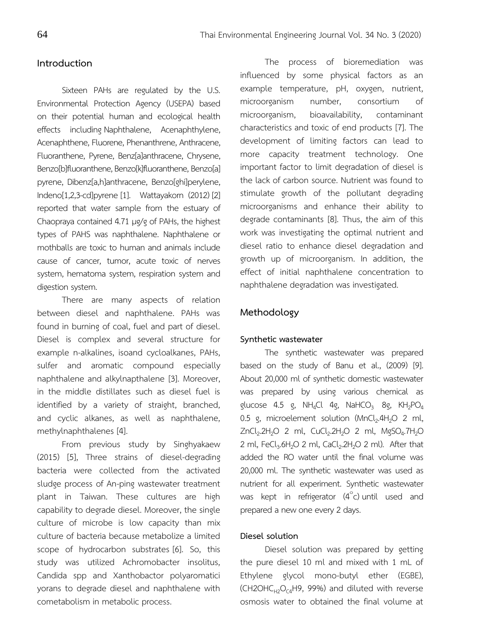## **Introduction**

Sixteen PAHs are regulated by the U.S. Environmental Protection Agency (USEPA) based on their potential human and ecological health effects including Naphthalene, Acenaphthylene, Acenaphthene, Fluorene, Phenanthrene, Anthracene, Fluoranthene, Pyrene, Benz[a]anthracene, Chrysene, Benzo[b]fluoranthene, Benzo[k]fluoranthene, Benzo[a] pyrene, Dibenz[a,h]anthracene, Benzo[ghi]perylene, Indeno[1,2,3-cd]pyrene [1]. Wattayakorn (2012) [2] reported that water sample from the estuary of Chaopraya contained 4.71 µg/g of PAHs, the highest types of PAHS was naphthalene. Naphthalene or mothballs are toxic to human and animals include cause of cancer, tumor, acute toxic of nerves system, hematoma system, respiration system and digestion system.

There are many aspects of relation between diesel and naphthalene. PAHs was found in burning of coal, fuel and part of diesel. Diesel is complex and several structure for example n-alkalines, isoand cycloalkanes, PAHs, sulfer and aromatic compound especially naphthalene and alkylnapthalene [3]. Moreover, in the middle distillates such as diesel fuel is identified by a variety of straight, branched, and cyclic alkanes, as well as naphthalene, methylnaphthalenes [4].

From previous study by Singhyakaew (2015) [5], Three strains of diesel-degrading bacteria were collected from the activated sludge process of An-ping wastewater treatment plant in Taiwan. These cultures are high capability to degrade diesel. Moreover, the single culture of microbe is low capacity than mix culture of bacteria because metabolize a limited scope of hydrocarbon substrates [6]. So, this study was utilized Achromobacter insolitus, Candida spp and Xanthobactor polyaromatici yorans to degrade diesel and naphthalene with cometabolism in metabolic process.

The process of bioremediation was influenced by some physical factors as an example temperature, pH, oxygen, nutrient, microorganism number, consortium of microorganism, bioavailability, contaminant characteristics and toxic of end products [7]. The development of limiting factors can lead to more capacity treatment technology. One important factor to limit degradation of diesel is the lack of carbon source. Nutrient was found to stimulate growth of the pollutant degrading microorganisms and enhance their ability to degrade contaminants [8]. Thus, the aim of this work was investigating the optimal nutrient and diesel ratio to enhance diesel degradation and growth up of microorganism. In addition, the effect of initial naphthalene concentration to naphthalene degradation was investigated.

#### **Methodology**

#### **Synthetic wastewater**

The synthetic wastewater was prepared based on the study of Banu et al., (2009) [9]. About 20,000 ml of synthetic domestic wastewater was prepared by using various chemical as glucose 4.5 g, NH<sub>4</sub>Cl 4g, NaHCO<sub>3</sub> 8g, KH<sub>2</sub>PO<sub>4</sub> 0.5 g, microelement solution  $(MnCl<sub>2</sub>.4H<sub>2</sub>O 2 ml,$  $ZnCl_2.2H_2O$  2 ml,  $CuCl_2.2H_2O$  2 ml,  $MgSO_4.7H_2O$ 2 ml,  $FeCl<sub>3</sub>6H<sub>2</sub>O$  2 ml,  $CaCl<sub>2</sub>2H<sub>2</sub>O$  2 ml). After that added the RO water until the final volume was 20,000 ml. The synthetic wastewater was used as nutrient for all experiment. Synthetic wastewater was kept in refrigerator  $(4^{\circ}c)$  until used and prepared a new one every 2 days.

### **Diesel solution**

Diesel solution was prepared by getting the pure diesel 10 ml and mixed with 1 mL of Ethylene glycol mono-butyl ether (EGBE),  $(CH2OHC<sub>H2</sub>O<sub>CA</sub>H9, 99%)$  and diluted with reverse osmosis water to obtained the final volume at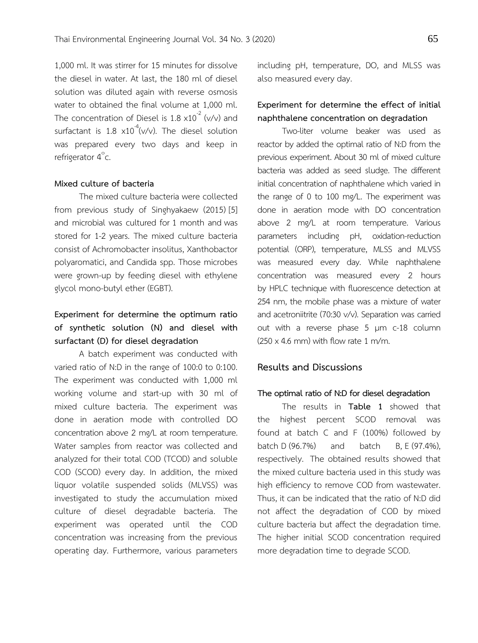1,000 ml. It was stirrer for 15 minutes for dissolve the diesel in water. At last, the 180 ml of diesel solution was diluted again with reverse osmosis water to obtained the final volume at 1,000 ml. The concentration of Diesel is  $1.8 \times 10^{-2}$  (v/v) and surfactant is 1.8  $\times 10^{-4}$ (v/v). The diesel solution was prepared every two days and keep in refrigerator 4°c.

#### **Mixed culture of bacteria**

The mixed culture bacteria were collected from previous study of Singhyakaew (2015) [5] and microbial was cultured for 1 month and was stored for 1-2 years. The mixed culture bacteria consist of Achromobacter insolitus, Xanthobactor polyaromatici, and Candida spp. Those microbes were grown-up by feeding diesel with ethylene glycol mono-butyl ether (EGBT).

## **Experiment for determine the optimum ratio of synthetic solution (N) and diesel with surfactant (D) for diesel degradation**

A batch experiment was conducted with varied ratio of N:D in the range of 100:0 to 0:100. The experiment was conducted with 1,000 ml working volume and start-up with 30 ml of mixed culture bacteria. The experiment was done in aeration mode with controlled DO concentration above 2 mg/L at room temperature. Water samples from reactor was collected and analyzed for their total COD (TCOD) and soluble COD (SCOD) every day. In addition, the mixed liquor volatile suspended solids (MLVSS) was investigated to study the accumulation mixed culture of diesel degradable bacteria. The experiment was operated until the COD concentration was increasing from the previous operating day. Furthermore, various parameters including pH, temperature, DO, and MLSS was also measured every day.

## **Experiment for determine the effect of initial naphthalene concentration on degradation**

Two-liter volume beaker was used as reactor by added the optimal ratio of N:D from the previous experiment. About 30 ml of mixed culture bacteria was added as seed sludge. The different initial concentration of naphthalene which varied in the range of 0 to 100 mg/L. The experiment was done in aeration mode with DO concentration above 2 mg/L at room temperature. Various parameters including pH, oxidation-reduction potential (ORP), temperature, MLSS and MLVSS was measured every day. While naphthalene concentration was measured every 2 hours by HPLC technique with fluorescence detection at 254 nm, the mobile phase was a mixture of water and acetroniitrite (70:30 v/v). Separation was carried out with a reverse phase 5 µm c-18 column  $(250 \times 4.6 \text{ mm})$  with flow rate 1 m/m.

#### **Results and Discussions**

#### **The optimal ratio of N:D for diesel degradation**

The results in **Table 1** showed that the highest percent SCOD removal was found at batch C and F (100%) followed by batch D (96.7%) and batch B, E (97.4%), respectively. The obtained results showed that the mixed culture bacteria used in this study was high efficiency to remove COD from wastewater. Thus, it can be indicated that the ratio of N:D did not affect the degradation of COD by mixed culture bacteria but affect the degradation time. The higher initial SCOD concentration required more degradation time to degrade SCOD.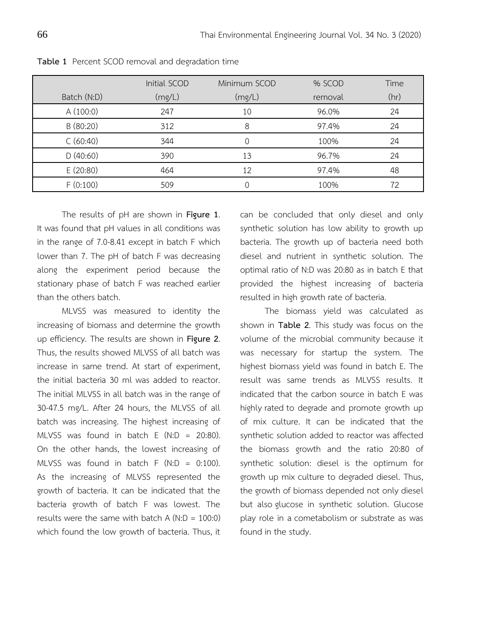|             | Initial SCOD | Minimum SCOD | % SCOD  | Time |
|-------------|--------------|--------------|---------|------|
| Batch (N:D) | (mg/L)       | (mg/L)       | removal | (hr) |
| A(100:0)    | 247          | 10           | 96.0%   | 24   |
| B (80:20)   | 312          | 8            | 97.4%   | 24   |
| C(60:40)    | 344          |              | 100%    | 24   |
| D(40:60)    | 390          | 13           | 96.7%   | 24   |
| E (20:80)   | 464          | 12           | 97.4%   | 48   |
| F(0:100)    | 509          |              | 100%    | 72   |

**Table 1** Percent SCOD removal and degradation time

The results of pH are shown in **Figure 1**. It was found that pH values in all conditions was in the range of 7.0-8.41 except in batch F which lower than 7. The pH of batch F was decreasing along the experiment period because the stationary phase of batch F was reached earlier than the others batch.

MLVSS was measured to identity the increasing of biomass and determine the growth up efficiency. The results are shown in **Figure 2**. Thus, the results showed MLVSS of all batch was increase in same trend. At start of experiment, the initial bacteria 30 ml was added to reactor. The initial MLVSS in all batch was in the range of 30-47.5 mg/L. After 24 hours, the MLVSS of all batch was increasing. The highest increasing of MLVSS was found in batch  $E (N:D = 20:80)$ . On the other hands, the lowest increasing of MLVSS was found in batch  $F(N:D = 0:100)$ . As the increasing of MLVSS represented the growth of bacteria. It can be indicated that the bacteria growth of batch F was lowest. The results were the same with batch  $A (N: D = 100:0)$ which found the low growth of bacteria. Thus, it

can be concluded that only diesel and only synthetic solution has low ability to growth up bacteria. The growth up of bacteria need both diesel and nutrient in synthetic solution. The optimal ratio of N:D was 20:80 as in batch E that provided the highest increasing of bacteria resulted in high growth rate of bacteria.

The biomass yield was calculated as shown in **Table 2**. This study was focus on the volume of the microbial community because it was necessary for startup the system. The highest biomass yield was found in batch E. The result was same trends as MLVSS results. It indicated that the carbon source in batch E was highly rated to degrade and promote growth up of mix culture. It can be indicated that the synthetic solution added to reactor was affected the biomass growth and the ratio 20:80 of synthetic solution: diesel is the optimum for growth up mix culture to degraded diesel. Thus, the growth of biomass depended not only diesel but also glucose in synthetic solution. Glucose play role in a cometabolism or substrate as was found in the study.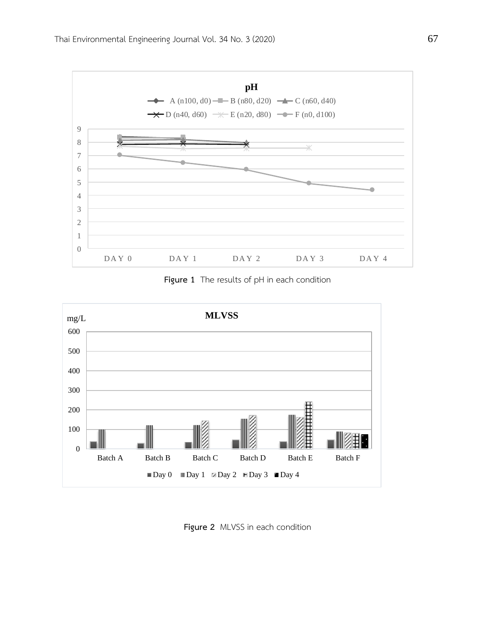

**Figure 1** The results of pH in each condition



**Figure 2** MLVSS in each condition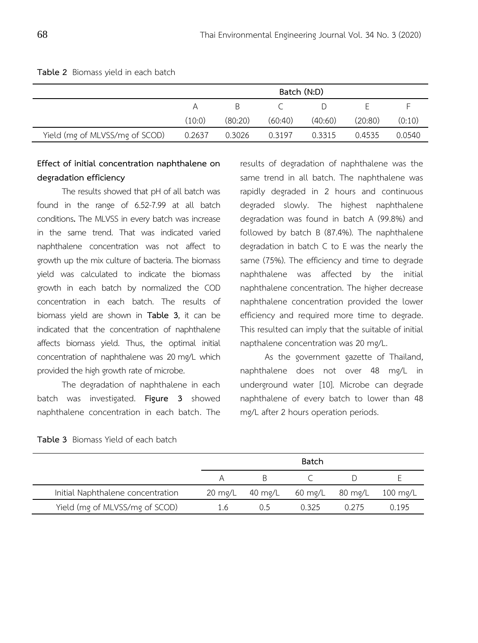|                                | Batch (N:D) |         |         |         |         |        |
|--------------------------------|-------------|---------|---------|---------|---------|--------|
|                                | A           | B.      |         |         |         |        |
|                                | (10:0)      | (80:20) | (60:40) | (40:60) | (20:80) | (0:10) |
| Yield (mg of MLVSS/mg of SCOD) | 0.2637      | 0.3026  | 0.3197  | 0.3315  | 0.4535  | 0.0540 |

**Table 2** Biomass yield in each batch

# **Effect of initial concentration naphthalene on degradation efficiency**

The results showed that pH of all batch was found in the range of 6.52-7.99 at all batch conditions**.** The MLVSS in every batch was increase in the same trend. That was indicated varied naphthalene concentration was not affect to growth up the mix culture of bacteria.The biomass yield was calculated to indicate the biomass growth in each batch by normalized the COD concentration in each batch. The results of biomass yield are shown in **Table 3**, it can be indicated that the concentration of naphthalene affects biomass yield. Thus, the optimal initial concentration of naphthalene was 20 mg/L which provided the high growth rate of microbe.

The degradation of naphthalene in each batch was investigated. **Figure 3** showed naphthalene concentration in each batch. The

results of degradation of naphthalene was the same trend in all batch. The naphthalene was rapidly degraded in 2 hours and continuous degraded slowly. The highest naphthalene degradation was found in batch A (99.8%) and followed by batch B (87.4%). The naphthalene degradation in batch C to E was the nearly the same (75%). The efficiency and time to degrade naphthalene was affected by the initial naphthalene concentration. The higher decrease naphthalene concentration provided the lower efficiency and required more time to degrade. This resulted can imply that the suitable of initial napthalene concentration was 20 mg/L.

As the government gazette of Thailand, naphthalene does not over 48 mg/L in underground water [10]. Microbe can degrade naphthalene of every batch to lower than 48 mg/L after 2 hours operation periods.

|                                   |     | Batch |                                          |       |       |  |  |
|-----------------------------------|-----|-------|------------------------------------------|-------|-------|--|--|
|                                   | A   |       |                                          |       |       |  |  |
| Initial Naphthalene concentration |     |       | 20 mg/L 40 mg/L 60 mg/L 80 mg/L 100 mg/L |       |       |  |  |
| Yield (mg of MLVSS/mg of SCOD)    | 1.6 | ()5   | <u>በ 325</u>                             | 0.275 | በ 195 |  |  |

**Table 3** Biomass Yield of each batch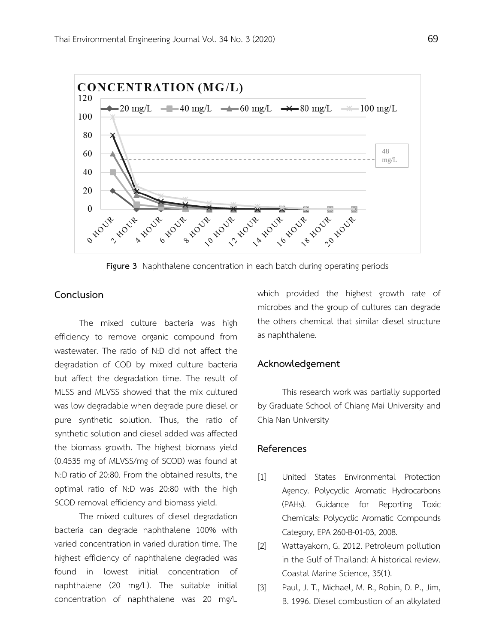

**Figure 3** Naphthalene concentration in each batch during operating periods

### **Conclusion**

The mixed culture bacteria was high efficiency to remove organic compound from wastewater. The ratio of N:D did not affect the degradation of COD by mixed culture bacteria but affect the degradation time. The result of MLSS and MLVSS showed that the mix cultured was low degradable when degrade pure diesel or pure synthetic solution. Thus, the ratio of synthetic solution and diesel added was affected the biomass growth. The highest biomass yield (0.4535 mg of MLVSS/mg of SCOD) was found at N:D ratio of 20:80. From the obtained results, the optimal ratio of N:D was 20:80 with the high SCOD removal efficiency and biomass yield.

The mixed cultures of diesel degradation bacteria can degrade naphthalene 100% with varied concentration in varied duration time. The highest efficiency of naphthalene degraded was found in lowest initial concentration of naphthalene (20 mg/L). The suitable initial concentration of naphthalene was 20 mg/L

which provided the highest growth rate of microbes and the group of cultures can degrade the others chemical that similar diesel structure as naphthalene.

#### **Acknowledgement**

This research work was partially supported by Graduate School of Chiang Mai University and Chia Nan University

## **References**

- [1] United States Environmental Protection Agency. Polycyclic Aromatic Hydrocarbons (PAHs). Guidance for Reporting Toxic Chemicals: Polycyclic Aromatic Compounds Category, EPA 260-B-01-03, 2008.
- [2] Wattayakorn, G. 2012. Petroleum pollution in the Gulf of Thailand: A historical review. Coastal Marine Science, 35(1).
- [3] Paul, J. T., Michael, M. R., Robin, D. P., Jim, B. 1996. Diesel combustion of an alkylated